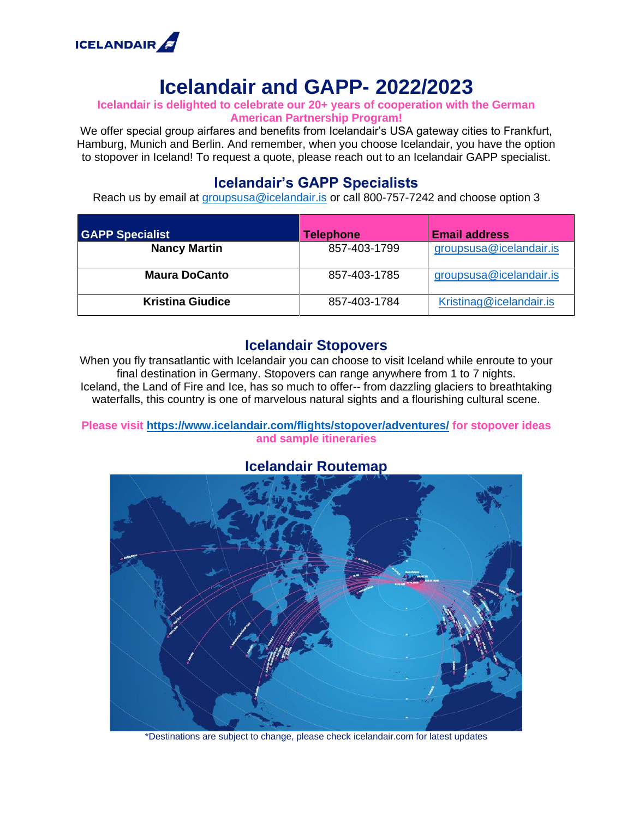

## **Icelandair and GAPP- 2022/2023**

#### **Icelandair is delighted to celebrate our 20+ years of cooperation with the German American Partnership Program!**

We offer special group airfares and benefits from Icelandair's USA gateway cities to Frankfurt, Hamburg, Munich and Berlin. And remember, when you choose Icelandair, you have the option to stopover in Iceland! To request a quote, please reach out to an Icelandair GAPP specialist.

### **Icelandair's GAPP Specialists**

Reach us by email at [groupsusa@icelandair.is](mailto:groupsusa@icelandair.is) or call 800-757-7242 and choose option 3

| <b>GAPP Specialist</b>  | <b>Telephone</b> | <b>Email address</b>    |
|-------------------------|------------------|-------------------------|
| <b>Nancy Martin</b>     | 857-403-1799     | groupsusa@icelandair.is |
| <b>Maura DoCanto</b>    | 857-403-1785     | groupsusa@icelandair.is |
| <b>Kristina Giudice</b> | 857-403-1784     | Kristinag@icelandair.is |

#### **Icelandair Stopovers**

When you fly transatlantic with Icelandair you can choose to visit Iceland while enroute to your final destination in Germany. Stopovers can range anywhere from 1 to 7 nights. Iceland, the Land of Fire and Ice, has so much to offer-- from dazzling glaciers to breathtaking waterfalls, this country is one of marvelous natural sights and a flourishing cultural scene.

**Please visit<https://www.icelandair.com/flights/stopover/adventures/> for stopover ideas and sample itineraries**



**Icelandair Routemap**

\*Destinations are subject to change, please check icelandair.com for latest updates